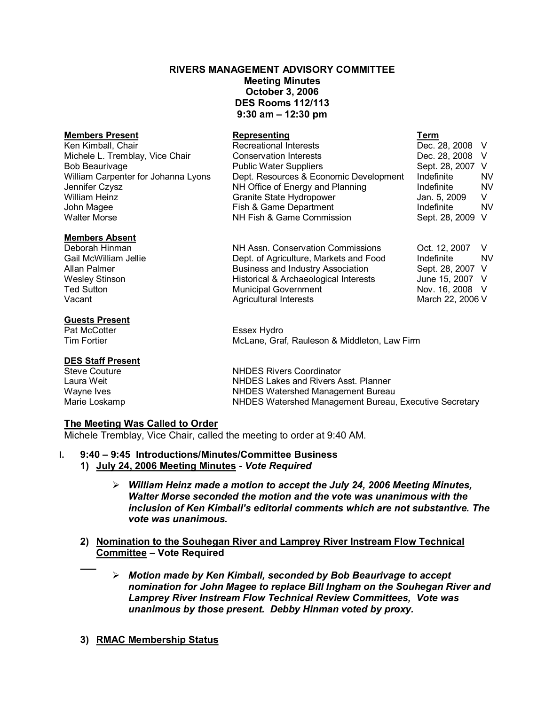## **RIVERS MANAGEMENT ADVISORY COMMITTEE**

**Meeting Minutes October 3, 2006 DES Rooms 112/113 9:30 am – 12:30 pm** 

| <b>Members Present</b>              | <u>Representing</u>                      | Term             |           |
|-------------------------------------|------------------------------------------|------------------|-----------|
| Ken Kimball, Chair                  | <b>Recreational Interests</b>            | Dec. 28, 2008 V  |           |
| Michele L. Tremblay, Vice Chair     | <b>Conservation Interests</b>            | Dec. 28, 2008 V  |           |
| <b>Bob Beaurivage</b>               | <b>Public Water Suppliers</b>            | Sept. 28, 2007   | V         |
| William Carpenter for Johanna Lyons | Dept. Resources & Economic Development   | Indefinite       | NV        |
| Jennifer Czysz                      | NH Office of Energy and Planning         | Indefinite       | <b>NV</b> |
| William Heinz                       | Granite State Hydropower                 | Jan. 5, 2009     | V         |
| John Magee                          | Fish & Game Department                   | Indefinite       | <b>NV</b> |
| <b>Walter Morse</b>                 | NH Fish & Game Commission                | Sept. 28, 2009   | V         |
| <b>Members Absent</b>               |                                          |                  |           |
| Deborah Hinman                      | NH Assn. Conservation Commissions        | Oct. 12, 2007    | V         |
| Gail McWilliam Jellie               | Dept. of Agriculture, Markets and Food   | Indefinite       | <b>NV</b> |
| Allan Palmer                        | <b>Business and Industry Association</b> | Sept. 28, 2007   | V         |
| <b>Wesley Stinson</b>               | Historical & Archaeological Interests    | June 15, 2007 V  |           |
| <b>Ted Sutton</b>                   | <b>Municipal Government</b>              | Nov. 16, 2008 V  |           |
| Vacant                              | <b>Agricultural Interests</b>            | March 22, 2006 V |           |
| <b>Guests Present</b>               |                                          |                  |           |
| Pat McCotter                        | Essex Hydro                              |                  |           |

Tim Fortier McLane, Graf, Rauleson & Middleton, Law Firm

# **DES Staff Present**

Steve Couture **NHDES** Rivers Coordinator<br>
Laura Weit **NHDES** Lakes and Rivers A Laura Weit **NHDES Lakes and Rivers Asst. Planner**<br>
Wayne Ives **MALL CONTAINGLIFY CONTAINS** MEDES Watershed Management Bureau NHDES Watershed Management Bureau Marie Loskamp **NHDES Watershed Management Bureau, Executive Secretary** 

# **The Meeting Was Called to Order**

Michele Tremblay, Vice Chair, called the meeting to order at 9:40 AM.

# **I. 9:40 – 9:45 Introductions/Minutes/Committee Business**

- **1) July 24, 2006 Meeting Minutes**  *Vote Required* 
	- ÿ *William Heinz made a motion to accept the July 24, 2006 Meeting Minutes, Walter Morse seconded the motion and the vote was unanimous with the inclusion of Ken Kimball's editorial comments which are not substantive. The vote was unanimous.*
- **2) Nomination to the Souhegan River and Lamprey River Instream Flow Technical Committee – Vote Required** 
	- ÿ *Motion made by Ken Kimball, seconded by Bob Beaurivage to accept nomination for John Magee to replace Bill Ingham on the Souhegan River and Lamprey River Instream Flow Technical Review Committees, Vote was unanimous by those present. Debby Hinman voted by proxy.*
- **3) RMAC Membership Status**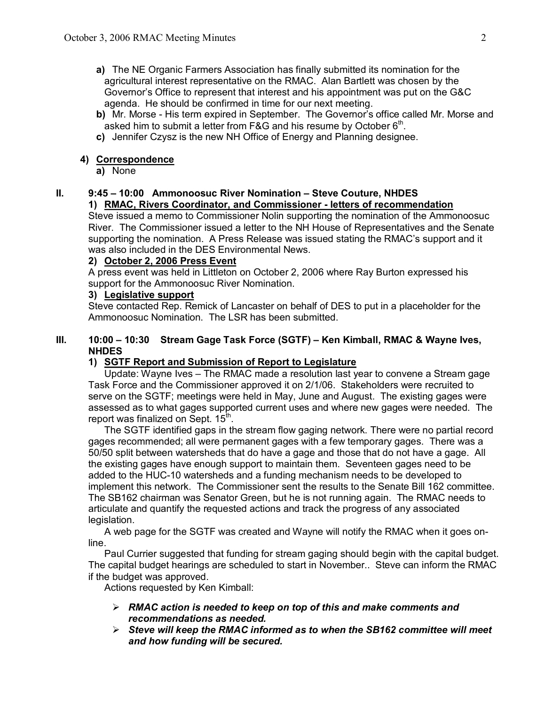- **a)** The NE Organic Farmers Association has finally submitted its nomination for the agricultural interest representative on the RMAC. Alan Bartlett was chosen by the Governor's Office to represent that interest and his appointment was put on the G&C agenda. He should be confirmed in time for our next meeting.
- **b**) Mr. Morse His term expired in September. The Governor's office called Mr. Morse and asked him to submit a letter from F&G and his resume by October 6<sup>th</sup>.
- **c)** Jennifer Czysz is the new NH Office of Energy and Planning designee.

# **4) Correspondence**

**a)** None

#### **II. 9:45 – 10:00 Ammonoosuc River Nomination – Steve Couture, NHDES 1) RMAC, Rivers Coordinator, and Commissioner letters of recommendation**

Steve issued a memo to Commissioner Nolin supporting the nomination of the Ammonoosuc River. The Commissioner issued a letter to the NH House of Representatives and the Senate supporting the nomination. A Press Release was issued stating the RMAC's support and it was also included in the DES Environmental News.

## **2) October 2, 2006 Press Event**

A press event was held in Littleton on October 2, 2006 where Ray Burton expressed his support for the Ammonoosuc River Nomination.

## **3) Legislative support**

Steve contacted Rep. Remick of Lancaster on behalf of DES to put in a placeholder for the Ammonoosuc Nomination. The LSR has been submitted.

## **III. 10:00 – 10:30 Stream Gage Task Force (SGTF) – Ken Kimball, RMAC & Wayne Ives, NHDES**

# **1) SGTF Report and Submission of Report to Legislature**

Update: Wayne Ives – The RMAC made a resolution last year to convene a Stream gage Task Force and the Commissioner approved it on 2/1/06. Stakeholders were recruited to serve on the SGTF; meetings were held in May, June and August. The existing gages were assessed as to what gages supported current uses and where new gages were needed. The report was finalized on Sept. 15<sup>th</sup>.

The SGTF identified gaps in the stream flow gaging network. There were no partial record gages recommended; all were permanent gages with a few temporary gages. There was a 50/50 split between watersheds that do have a gage and those that do not have a gage. All the existing gages have enough support to maintain them. Seventeen gages need to be added to the HUC-10 watersheds and a funding mechanism needs to be developed to implement this network. The Commissioner sent the results to the Senate Bill 162 committee. The SB162 chairman was Senator Green, but he is not running again. The RMAC needs to articulate and quantify the requested actions and track the progress of any associated legislation.

A web page for the SGTF was created and Wayne will notify the RMAC when it goes online. Paul Currier suggested that funding for stream gaging should begin with the capital budget.

The capital budget hearings are scheduled to start in November.. Steve can inform the RMAC if the budget was approved.

Actions requested by Ken Kimball:

- ÿ *RMAC action is needed to keep on top of this and make comments and recommendations as needed.*
- ÿ *Steve will keep the RMAC informed as to when the SB162 committee will meet and how funding will be secured.*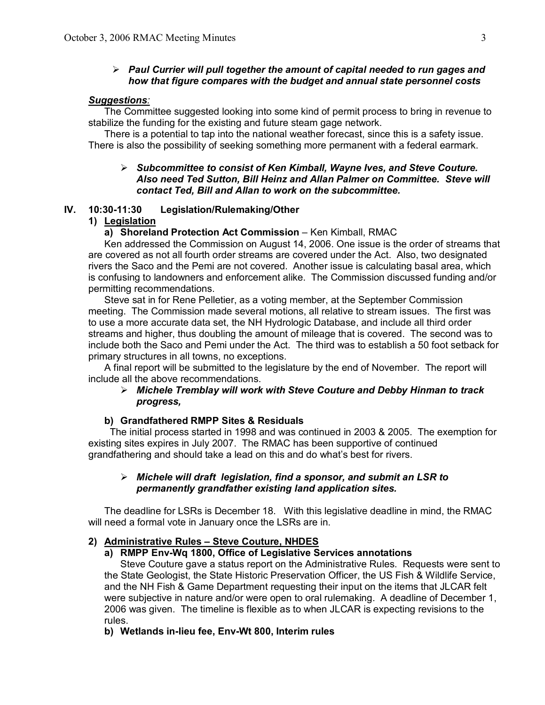## ÿ *Paul Currier will pull together the amount of capital needed to run gages and how that figure compares with the budget and annual state personnel costs*

#### *Suggestions:*

The Committee suggested looking into some kind of permit process to bring in revenue to stabilize the funding for the existing and future steam gage network.

There is a potential to tap into the national weather forecast, since this is a safety issue. There is also the possibility of seeking something more permanent with a federal earmark.

## ÿ *Subcommittee to consist of Ken Kimball, Wayne Ives, and Steve Couture. Also need Ted Sutton, Bill Heinz and Allan Palmer on Committee. Steve will contact Ted, Bill and Allan to work on the subcommittee.*

#### IV. 10:30-11:30 Legislation/Rulemaking/Other

## **1) Legislation**

#### **a) Shoreland Protection Act Commission** – Ken Kimball, RMAC

Ken addressed the Commission on August 14, 2006. One issue is the order of streams that are covered as not all fourth order streams are covered under the Act. Also, two designated rivers the Saco and the Pemi are not covered. Another issue is calculating basal area, which is confusing to landowners and enforcement alike. The Commission discussed funding and/or permitting recommendations.

Steve sat in for Rene Pelletier, as a voting member, at the September Commission meeting. The Commission made several motions, all relative to stream issues. The first was to use a more accurate data set, the NH Hydrologic Database, and include all third order streams and higher, thus doubling the amount of mileage that is covered. The second was to include both the Saco and Pemi under the Act. The third was to establish a 50 foot setback for primary structures in all towns, no exceptions.

A final report will be submitted to the legislature by the end of November. The report will include all the above recommendations.

## ÿ *Michele Tremblay will work with Steve Couture and Debby Hinman to track progress,*

#### **b) Grandfathered RMPP Sites & Residuals**

The initial process started in 1998 and was continued in 2003 & 2005. The exemption for existing sites expires in July 2007. The RMAC has been supportive of continued grandfathering and should take a lead on this and do what's best for rivers.

## ÿ *Michele will draft legislation, find a sponsor, and submit an LSR to permanently grandfather existing land application sites.*

The deadline for LSRs is December 18. With this legislative deadline in mind, the RMAC will need a formal vote in January once the LSRs are in.

## **2) Administrative Rules – Steve Couture, NHDES**

## **a) RMPP EnvWq 1800, Office of Legislative Services annotations**

Steve Couture gave a status report on the Administrative Rules. Requests were sent to the State Geologist, the State Historic Preservation Officer, the US Fish & Wildlife Service, and the NH Fish & Game Department requesting their input on the items that JLCAR felt were subjective in nature and/or were open to oral rulemaking. A deadline of December 1, 2006 was given. The timeline is flexible as to when JLCAR is expecting revisions to the rules.

## **b)** Wetlands in-lieu fee, Env-Wt 800, Interim rules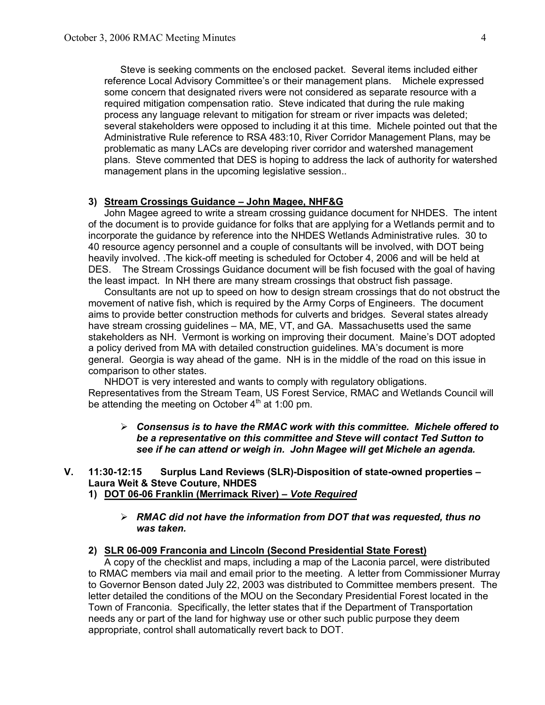Steve is seeking comments on the enclosed packet. Several items included either reference Local Advisory Committee's or their management plans. Michele expressed some concern that designated rivers were not considered as separate resource with a required mitigation compensation ratio. Steve indicated that during the rule making process any language relevant to mitigation for stream or river impacts was deleted; several stakeholders were opposed to including it at this time. Michele pointed out that the Administrative Rule reference to RSA 483:10, River Corridor Management Plans, may be problematic as many LACs are developing river corridor and watershed management plans. Steve commented that DES is hoping to address the lack of authority for watershed management plans in the upcoming legislative session..

#### **3) Stream Crossings Guidance – John Magee, NHF&G**

John Magee agreed to write a stream crossing guidance document for NHDES. The intent of the document is to provide guidance for folks that are applying for a Wetlands permit and to incorporate the guidance by reference into the NHDES Wetlands Administrative rules. 30 to 40 resource agency personnel and a couple of consultants will be involved, with DOT being heavily involved. The kick-off meeting is scheduled for October 4, 2006 and will be held at DES. The Stream Crossings Guidance document will be fish focused with the goal of having the least impact. In NH there are many stream crossings that obstruct fish passage.

Consultants are not up to speed on how to design stream crossings that do not obstruct the movement of native fish, which is required by the Army Corps of Engineers. The document aims to provide better construction methods for culverts and bridges. Several states already have stream crossing guidelines – MA, ME, VT, and GA. Massachusetts used the same stakeholders as NH. Vermont is working on improving their document. Maine's DOT adopted a policy derived from MA with detailed construction guidelines. MA's document is more general. Georgia is way ahead of the game. NH is in the middle of the road on this issue in comparison to other states.

NHDOT is very interested and wants to comply with regulatory obligations. Representatives from the Stream Team, US Forest Service, RMAC and Wetlands Council will be attending the meeting on October 4<sup>th</sup> at 1:00 pm.

ÿ *Consensus is to have the RMAC work with this committee. Michele offered to be a representative on this committee and Steve will contact Ted Sutton to see if he can attend or weigh in. John Magee will get Michele an agenda.*

## **V. 11:30-12:15** Surplus Land Reviews (SLR)-Disposition of state-owned properties – **Laura Weit & Steve Couture, NHDES**

# 1) **DOT 06-06 Franklin (Merrimack River) – Vote Required**

#### ÿ *RMAC did not have the information from DOT that was requested, thus no was taken.*

#### **2) SLR 06009 Franconia and Lincoln (Second Presidential State Forest)**

A copy of the checklist and maps, including a map of the Laconia parcel, were distributed to RMAC members via mail and email prior to the meeting. A letter from Commissioner Murray to Governor Benson dated July 22, 2003 was distributed to Committee members present. The letter detailed the conditions of the MOU on the Secondary Presidential Forest located in the Town of Franconia. Specifically, the letter states that if the Department of Transportation needs any or part of the land for highway use or other such public purpose they deem appropriate, control shall automatically revert back to DOT.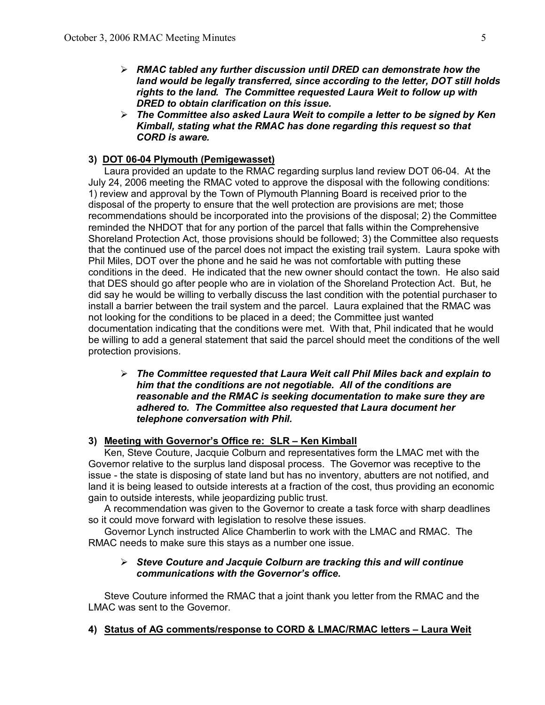- ÿ *RMAC tabled any further discussion until DRED can demonstrate how the land would be legally transferred, since according to the letter, DOT still holds rights to the land. The Committee requested Laura Weit to follow up with DRED to obtain clarification on this issue.*
- ÿ *The Committee also asked Laura Weit to compile a letter to be signed by Ken Kimball, stating what the RMAC has done regarding this request so that CORD is aware.*

## **3) DOT 0604 Plymouth (Pemigewasset)**

Laura provided an update to the RMAC regarding surplus land review DOT 06-04. At the July 24, 2006 meeting the RMAC voted to approve the disposal with the following conditions: 1) review and approval by the Town of Plymouth Planning Board is received prior to the disposal of the property to ensure that the well protection are provisions are met; those recommendations should be incorporated into the provisions of the disposal; 2) the Committee reminded the NHDOT that for any portion of the parcel that falls within the Comprehensive Shoreland Protection Act, those provisions should be followed; 3) the Committee also requests that the continued use of the parcel does not impact the existing trail system. Laura spoke with Phil Miles, DOT over the phone and he said he was not comfortable with putting these conditions in the deed. He indicated that the new owner should contact the town. He also said that DES should go after people who are in violation of the Shoreland Protection Act. But, he did say he would be willing to verbally discuss the last condition with the potential purchaser to install a barrier between the trail system and the parcel. Laura explained that the RMAC was not looking for the conditions to be placed in a deed; the Committee just wanted documentation indicating that the conditions were met. With that, Phil indicated that he would be willing to add a general statement that said the parcel should meet the conditions of the well protection provisions.

ÿ *The Committee requested that Laura Weit call Phil Miles back and explain to him that the conditions are not negotiable. All of the conditions are reasonable and the RMAC is seeking documentation to make sure they are adhered to. The Committee also requested that Laura document her telephone conversation with Phil.*

## **3) Meeting with Governor's Office re: SLR – Ken Kimball**

Ken, Steve Couture, Jacquie Colburn and representatives form the LMAC met with the Governor relative to the surplus land disposal process. The Governor was receptive to the issue - the state is disposing of state land but has no inventory, abutters are not notified, and land it is being leased to outside interests at a fraction of the cost, thus providing an economic gain to outside interests, while jeopardizing public trust.

A recommendation was given to the Governor to create a task force with sharp deadlines so it could move forward with legislation to resolve these issues.

Governor Lynch instructed Alice Chamberlin to work with the LMAC and RMAC. The RMAC needs to make sure this stays as a number one issue.

## ÿ *Steve Couture and Jacquie Colburn are tracking this and will continue communications with the Governor's office.*

Steve Couture informed the RMAC that a joint thank you letter from the RMAC and the LMAC was sent to the Governor.

**4) Status of AG comments/response to CORD & LMAC/RMAC letters – Laura Weit**